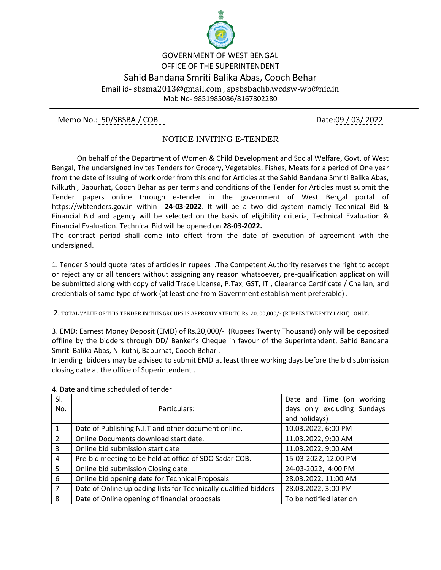

## GOVERNMENT OF WEST BENGAL OFFICE OF THE SUPERINTENDENT Sahid Bandana Smriti Balika Abas, Cooch Behar Email id- sbsma2013@gmail.com , spsbsbachb.wcdsw-wb@nic.in Mob No- 9851985086/8167802280

Memo No.: 50/SBSBA / COB Date:09 / 03/ 2022

## NOTICE INVITING E-TENDER

 On behalf of the Department of Women & Child Development and Social Welfare, Govt. of West Bengal, The undersigned invites Tenders for Grocery, Vegetables, Fishes, Meats for a period of One year from the date of issuing of work order from this end for Articles at the Sahid Bandana Smriti Balika Abas, Nilkuthi, Baburhat, Cooch Behar as per terms and conditions of the Tender for Articles must submit the Tender papers online through e-tender in the government of West Bengal portal of https://wbtenders.gov.in within **24-03-2022**. It will be a two did system namely Technical Bid & Financial Bid and agency will be selected on the basis of eligibility criteria, Technical Evaluation & Financial Evaluation. Technical Bid will be opened on **28-03-2022.**

The contract period shall come into effect from the date of execution of agreement with the undersigned.

1. Tender Should quote rates of articles in rupees .The Competent Authority reserves the right to accept or reject any or all tenders without assigning any reason whatsoever, pre-qualification application will be submitted along with copy of valid Trade License, P.Tax, GST, IT , Clearance Certificate / Challan, and credentials of same type of work (at least one from Government establishment preferable) .

2. TOTAL VALUE OF THIS TENDER IN THIS GROUPS IS APPROXIMATED TO Rs. 20, 00,000/- (RUPEES TWEENTY LAKH) ONLY.

3. EMD: Earnest Money Deposit (EMD) of Rs.20,000/- (Rupees Twenty Thousand) only will be deposited offline by the bidders through DD/ Banker's Cheque in favour of the Superintendent, Sahid Bandana Smriti Balika Abas, Nilkuthi, Baburhat, Cooch Behar .

Intending bidders may be advised to submit EMD at least three working days before the bid submission closing date at the office of Superintendent .

| SI.            |                                                                  | Date and Time (on working   |
|----------------|------------------------------------------------------------------|-----------------------------|
| No.            | Particulars:                                                     | days only excluding Sundays |
|                |                                                                  | and holidays)               |
|                | Date of Publishing N.I.T and other document online.              | 10.03.2022, 6:00 PM         |
| $\overline{2}$ | Online Documents download start date.                            | 11.03.2022, 9:00 AM         |
| 3              | Online bid submission start date                                 | 11.03.2022, 9:00 AM         |
| 4              | Pre-bid meeting to be held at office of SDO Sadar COB.           | 15-03-2022, 12:00 PM        |
| 5              | Online bid submission Closing date                               | 24-03-2022, 4:00 PM         |
| 6              | Online bid opening date for Technical Proposals                  | 28.03.2022, 11:00 AM        |
| 7              | Date of Online uploading lists for Technically qualified bidders | 28.03.2022, 3:00 PM         |
| 8              | Date of Online opening of financial proposals                    | To be notified later on     |

4. Date and time scheduled of tender